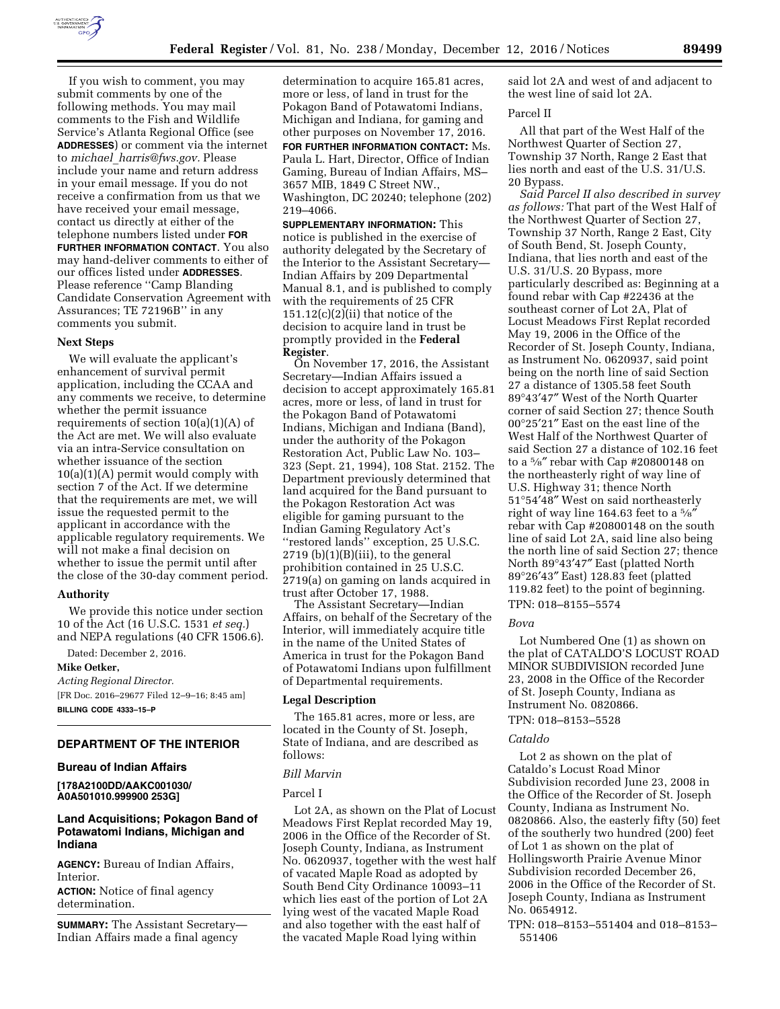

If you wish to comment, you may submit comments by one of the following methods. You may mail comments to the Fish and Wildlife Service's Atlanta Regional Office (see **ADDRESSES**) or comment via the internet to *michael*\_*[harris@fws.gov.](mailto:michael_harris@fws.gov)* Please include your name and return address in your email message. If you do not receive a confirmation from us that we have received your email message, contact us directly at either of the telephone numbers listed under **FOR FURTHER INFORMATION CONTACT**. You also may hand-deliver comments to either of our offices listed under **ADDRESSES**. Please reference ''Camp Blanding Candidate Conservation Agreement with Assurances; TE 72196B'' in any comments you submit.

## **Next Steps**

We will evaluate the applicant's enhancement of survival permit application, including the CCAA and any comments we receive, to determine whether the permit issuance requirements of section 10(a)(1)(A) of the Act are met. We will also evaluate via an intra-Service consultation on whether issuance of the section  $10(a)(1)(A)$  permit would comply with section 7 of the Act. If we determine that the requirements are met, we will issue the requested permit to the applicant in accordance with the applicable regulatory requirements. We will not make a final decision on whether to issue the permit until after the close of the 30-day comment period.

## **Authority**

We provide this notice under section 10 of the Act (16 U.S.C. 1531 *et seq.*) and NEPA regulations (40 CFR 1506.6).

Dated: December 2, 2016.

#### **Mike Oetker,**

*Acting Regional Director.*  [FR Doc. 2016–29677 Filed 12–9–16; 8:45 am] **BILLING CODE 4333–15–P** 

## **DEPARTMENT OF THE INTERIOR**

# **Bureau of Indian Affairs**

**[178A2100DD/AAKC001030/ A0A501010.999900 253G]** 

# **Land Acquisitions; Pokagon Band of Potawatomi Indians, Michigan and Indiana**

**AGENCY:** Bureau of Indian Affairs, Interior.

**ACTION:** Notice of final agency determination.

**SUMMARY:** The Assistant Secretary— Indian Affairs made a final agency

determination to acquire 165.81 acres, more or less, of land in trust for the Pokagon Band of Potawatomi Indians, Michigan and Indiana, for gaming and other purposes on November 17, 2016. **FOR FURTHER INFORMATION CONTACT:** Ms. Paula L. Hart, Director, Office of Indian Gaming, Bureau of Indian Affairs, MS– 3657 MIB, 1849 C Street NW., Washington, DC 20240; telephone (202)

219–4066. **SUPPLEMENTARY INFORMATION:** This notice is published in the exercise of authority delegated by the Secretary of the Interior to the Assistant Secretary— Indian Affairs by 209 Departmental Manual 8.1, and is published to comply with the requirements of 25 CFR 151.12(c)(2)(ii) that notice of the decision to acquire land in trust be promptly provided in the **Federal** 

#### **Register**.

On November 17, 2016, the Assistant Secretary—Indian Affairs issued a decision to accept approximately 165.81 acres, more or less, of land in trust for the Pokagon Band of Potawatomi Indians, Michigan and Indiana (Band), under the authority of the Pokagon Restoration Act, Public Law No. 103– 323 (Sept. 21, 1994), 108 Stat. 2152. The Department previously determined that land acquired for the Band pursuant to the Pokagon Restoration Act was eligible for gaming pursuant to the Indian Gaming Regulatory Act's ''restored lands'' exception, 25 U.S.C.  $2719$  (b) $(1)(B)(iii)$ , to the general prohibition contained in 25 U.S.C. 2719(a) on gaming on lands acquired in trust after October 17, 1988.

The Assistant Secretary—Indian Affairs, on behalf of the Secretary of the Interior, will immediately acquire title in the name of the United States of America in trust for the Pokagon Band of Potawatomi Indians upon fulfillment of Departmental requirements.

### **Legal Description**

The 165.81 acres, more or less, are located in the County of St. Joseph, State of Indiana, and are described as follows:

#### *Bill Marvin*

# Parcel I

Lot 2A, as shown on the Plat of Locust Meadows First Replat recorded May 19, 2006 in the Office of the Recorder of St. Joseph County, Indiana, as Instrument No. 0620937, together with the west half of vacated Maple Road as adopted by South Bend City Ordinance 10093–11 which lies east of the portion of Lot 2A lying west of the vacated Maple Road and also together with the east half of the vacated Maple Road lying within

said lot 2A and west of and adjacent to the west line of said lot 2A.

## Parcel II

All that part of the West Half of the Northwest Quarter of Section 27, Township 37 North, Range 2 East that lies north and east of the U.S. 31/U.S. 20 Bypass.

*Said Parcel II also described in survey as follows:* That part of the West Half of the Northwest Quarter of Section 27, Township 37 North, Range 2 East, City of South Bend, St. Joseph County, Indiana, that lies north and east of the U.S. 31/U.S. 20 Bypass, more particularly described as: Beginning at a found rebar with Cap #22436 at the southeast corner of Lot 2A, Plat of Locust Meadows First Replat recorded May 19, 2006 in the Office of the Recorder of St. Joseph County, Indiana, as Instrument No. 0620937, said point being on the north line of said Section 27 a distance of 1305.58 feet South 89°43′47″ West of the North Quarter corner of said Section 27; thence South 00°25′21″ East on the east line of the West Half of the Northwest Quarter of said Section 27 a distance of 102.16 feet to a 5⁄8″ rebar with Cap #20800148 on the northeasterly right of way line of U.S. Highway 31; thence North 51°54′48″ West on said northeasterly right of way line 164.63 feet to a 5⁄8″ rebar with Cap #20800148 on the south line of said Lot 2A, said line also being the north line of said Section 27; thence North 89°43′47″ East (platted North 89°26′43″ East) 128.83 feet (platted 119.82 feet) to the point of beginning. TPN: 018–8155–5574

#### *Bova*

Lot Numbered One (1) as shown on the plat of CATALDO'S LOCUST ROAD MINOR SUBDIVISION recorded June 23, 2008 in the Office of the Recorder of St. Joseph County, Indiana as Instrument No. 0820866.

# TPN: 018–8153–5528

#### *Cataldo*

Lot 2 as shown on the plat of Cataldo's Locust Road Minor Subdivision recorded June 23, 2008 in the Office of the Recorder of St. Joseph County, Indiana as Instrument No. 0820866. Also, the easterly fifty (50) feet of the southerly two hundred (200) feet of Lot 1 as shown on the plat of Hollingsworth Prairie Avenue Minor Subdivision recorded December 26, 2006 in the Office of the Recorder of St. Joseph County, Indiana as Instrument No. 0654912.

TPN: 018–8153–551404 and 018–8153– 551406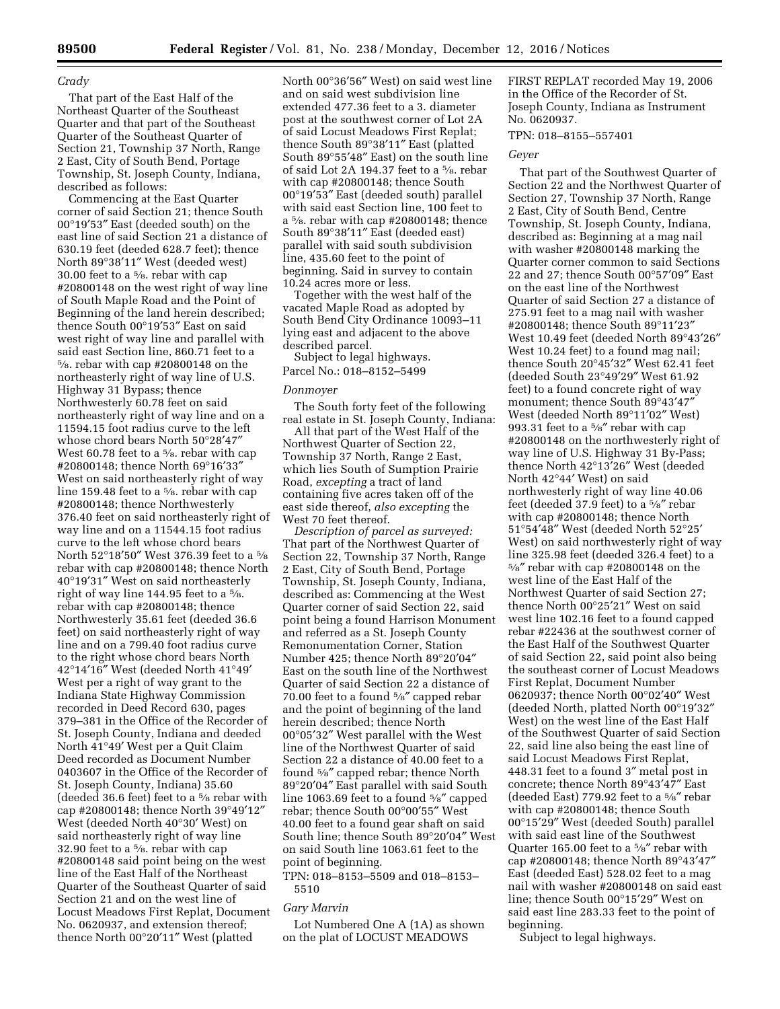## *Crady*

That part of the East Half of the Northeast Quarter of the Southeast Quarter and that part of the Southeast Quarter of the Southeast Quarter of Section 21, Township 37 North, Range 2 East, City of South Bend, Portage Township, St. Joseph County, Indiana, described as follows:

Commencing at the East Quarter corner of said Section 21; thence South 00°19′53″ East (deeded south) on the east line of said Section 21 a distance of 630.19 feet (deeded 628.7 feet); thence North 89°38′11″ West (deeded west) 30.00 feet to a 5⁄8. rebar with cap #20800148 on the west right of way line of South Maple Road and the Point of Beginning of the land herein described; thence South 00°19′53″ East on said west right of way line and parallel with said east Section line, 860.71 feet to a 5⁄8. rebar with cap #20800148 on the northeasterly right of way line of U.S. Highway 31 Bypass; thence Northwesterly 60.78 feet on said northeasterly right of way line and on a 11594.15 foot radius curve to the left whose chord bears North 50°28′47″ West 60.78 feet to a 5⁄8. rebar with cap #20800148; thence North 69°16′33″ West on said northeasterly right of way line 159.48 feet to a 5⁄8. rebar with cap #20800148; thence Northwesterly 376.40 feet on said northeasterly right of way line and on a 11544.15 foot radius curve to the left whose chord bears North 52°18′50″ West 376.39 feet to a 5⁄8 rebar with cap #20800148; thence North 40°19′31″ West on said northeasterly right of way line 144.95 feet to a 5⁄8. rebar with cap #20800148; thence Northwesterly 35.61 feet (deeded 36.6 feet) on said northeasterly right of way line and on a 799.40 foot radius curve to the right whose chord bears North 42°14′16″ West (deeded North 41°49′ West per a right of way grant to the Indiana State Highway Commission recorded in Deed Record 630, pages 379–381 in the Office of the Recorder of St. Joseph County, Indiana and deeded North 41°49′ West per a Quit Claim Deed recorded as Document Number 0403607 in the Office of the Recorder of St. Joseph County, Indiana) 35.60 (deeded 36.6 feet) feet to a 5⁄8 rebar with cap #20800148; thence North 39°49′12″ West (deeded North 40°30′ West) on said northeasterly right of way line 32.90 feet to a 5⁄8. rebar with cap #20800148 said point being on the west line of the East Half of the Northeast Quarter of the Southeast Quarter of said Section 21 and on the west line of Locust Meadows First Replat, Document No. 0620937, and extension thereof; thence North 00°20′11″ West (platted

North 00°36′56″ West) on said west line and on said west subdivision line extended 477.36 feet to a 3. diameter post at the southwest corner of Lot 2A of said Locust Meadows First Replat; thence South 89°38′11″ East (platted South 89°55′48″ East) on the south line of said Lot 2A 194.37 feet to a 5⁄8. rebar with cap #20800148; thence South 00°19′53″ East (deeded south) parallel with said east Section line, 100 feet to a 5⁄8. rebar with cap #20800148; thence South 89°38′11″ East (deeded east) parallel with said south subdivision line, 435.60 feet to the point of beginning. Said in survey to contain 10.24 acres more or less.

Together with the west half of the vacated Maple Road as adopted by South Bend City Ordinance 10093–11 lying east and adjacent to the above described parcel.

Subject to legal highways. Parcel No.: 018–8152–5499

## *Donmoyer*

The South forty feet of the following real estate in St. Joseph County, Indiana:

All that part of the West Half of the Northwest Quarter of Section 22, Township 37 North, Range 2 East, which lies South of Sumption Prairie Road, *excepting* a tract of land containing five acres taken off of the east side thereof, *also excepting* the West 70 feet thereof.

*Description of parcel as surveyed:*  That part of the Northwest Quarter of Section 22, Township 37 North, Range 2 East, City of South Bend, Portage Township, St. Joseph County, Indiana, described as: Commencing at the West Quarter corner of said Section 22, said point being a found Harrison Monument and referred as a St. Joseph County Remonumentation Corner, Station Number 425; thence North 89°20′04″ East on the south line of the Northwest Quarter of said Section 22 a distance of 70.00 feet to a found 5⁄8″ capped rebar and the point of beginning of the land herein described; thence North 00°05′32″ West parallel with the West line of the Northwest Quarter of said Section 22 a distance of 40.00 feet to a found 5⁄8″ capped rebar; thence North 89°20′04″ East parallel with said South line 1063.69 feet to a found 5⁄8″ capped rebar; thence South 00°00′55″ West 40.00 feet to a found gear shaft on said South line; thence South 89°20′04″ West on said South line 1063.61 feet to the point of beginning.

TPN: 018–8153–5509 and 018–8153– 5510

## *Gary Marvin*

Lot Numbered One A (1A) as shown on the plat of LOCUST MEADOWS

FIRST REPLAT recorded May 19, 2006 in the Office of the Recorder of St. Joseph County, Indiana as Instrument No. 0620937.

## TPN: 018–8155–557401

# *Geyer*

That part of the Southwest Quarter of Section 22 and the Northwest Quarter of Section 27, Township 37 North, Range 2 East, City of South Bend, Centre Township, St. Joseph County, Indiana, described as: Beginning at a mag nail with washer #20800148 marking the Quarter corner common to said Sections 22 and 27; thence South 00°57′09″ East on the east line of the Northwest Quarter of said Section 27 a distance of 275.91 feet to a mag nail with washer #20800148; thence South 89°11′23″ West 10.49 feet (deeded North 89°43′26″ West 10.24 feet) to a found mag nail; thence South 20°45′32″ West 62.41 feet (deeded South 23°49′29″ West 61.92 feet) to a found concrete right of way monument; thence South 89°43′47″ West (deeded North 89°11′02″ West) 993.31 feet to a 5⁄8″ rebar with cap #20800148 on the northwesterly right of way line of U.S. Highway 31 By-Pass; thence North 42°13′26″ West (deeded North 42°44′ West) on said northwesterly right of way line 40.06 feet (deeded 37.9 feet) to a 5⁄8″ rebar with cap #20800148; thence North 51°54′48″ West (deeded North 52°25′ West) on said northwesterly right of way line 325.98 feet (deeded 326.4 feet) to a 5⁄8″ rebar with cap #20800148 on the west line of the East Half of the Northwest Quarter of said Section 27; thence North 00°25′21″ West on said west line 102.16 feet to a found capped rebar #22436 at the southwest corner of the East Half of the Southwest Quarter of said Section 22, said point also being the southeast corner of Locust Meadows First Replat, Document Number 0620937; thence North 00°02′40″ West (deeded North, platted North 00°19′32″ West) on the west line of the East Half of the Southwest Quarter of said Section 22, said line also being the east line of said Locust Meadows First Replat, 448.31 feet to a found 3″ metal post in concrete; thence North 89°43′47″ East (deeded East) 779.92 feet to a 5⁄8″ rebar with cap #20800148; thence South 00°15′29″ West (deeded South) parallel with said east line of the Southwest Quarter 165.00 feet to a 5⁄8″ rebar with cap #20800148; thence North 89°43′47″ East (deeded East) 528.02 feet to a mag nail with washer #20800148 on said east line; thence South 00°15′29″ West on said east line 283.33 feet to the point of beginning.

Subject to legal highways.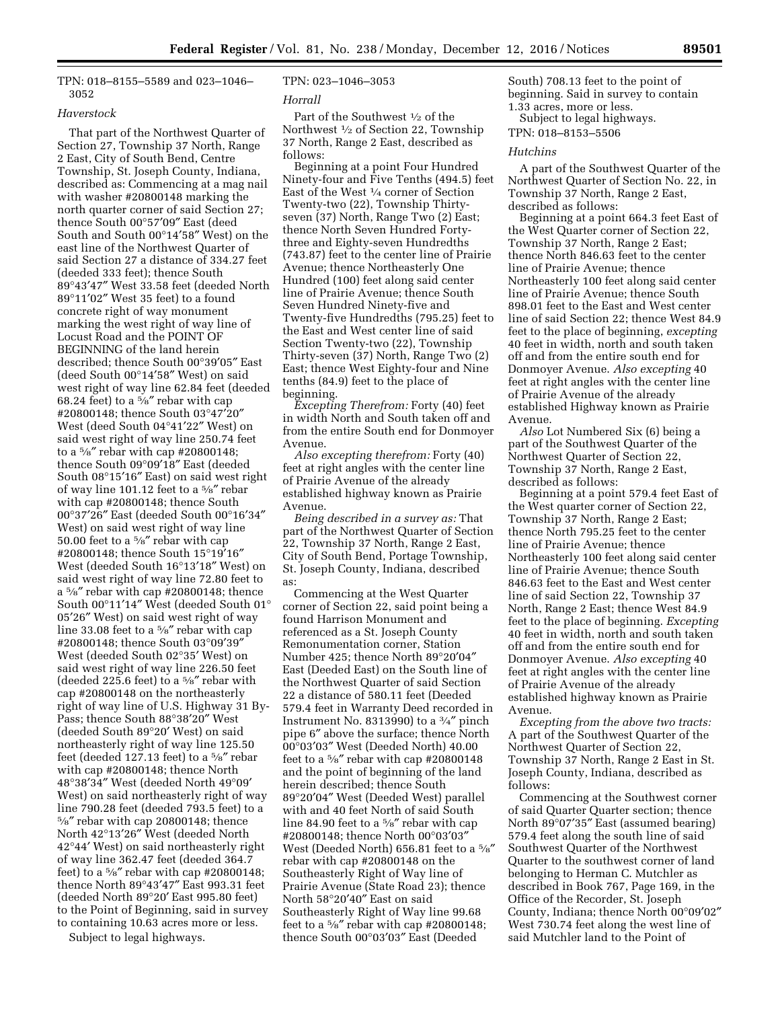TPN: 018–8155–5589 and 023–1046– 3052

## *Haverstock*

That part of the Northwest Quarter of Section 27, Township 37 North, Range 2 East, City of South Bend, Centre Township, St. Joseph County, Indiana, described as: Commencing at a mag nail with washer #20800148 marking the north quarter corner of said Section 27; thence South 00°57′09″ East (deed South and South 00°14′58″ West) on the east line of the Northwest Quarter of said Section 27 a distance of 334.27 feet (deeded 333 feet); thence South 89°43′47″ West 33.58 feet (deeded North 89°11′02″ West 35 feet) to a found concrete right of way monument marking the west right of way line of Locust Road and the POINT OF BEGINNING of the land herein described; thence South 00°39′05″ East (deed South 00°14′58″ West) on said west right of way line 62.84 feet (deeded 68.24 feet) to a  $\frac{5}{8}$ " rebar with cap #20800148; thence South 03°47′20″ West (deed South 04°41′22″ West) on said west right of way line 250.74 feet to a 5⁄8″ rebar with cap #20800148; thence South 09°09′18″ East (deeded South 08°15′16″ East) on said west right of way line 101.12 feet to a 5⁄8″ rebar with cap #20800148; thence South 00°37′26″ East (deeded South 00°16′34″ West) on said west right of way line 50.00 feet to a 5⁄8″ rebar with cap #20800148; thence South 15°19′16″ West (deeded South 16°13′18″ West) on said west right of way line 72.80 feet to a 5⁄8″ rebar with cap #20800148; thence South 00°11′14″ West (deeded South 01° 05′26″ West) on said west right of way line 33.08 feet to a 5⁄8″ rebar with cap #20800148; thence South 03°09′39″ West (deeded South 02°35′ West) on said west right of way line 226.50 feet (deeded 225.6 feet) to a 5⁄8″ rebar with cap #20800148 on the northeasterly right of way line of U.S. Highway 31 By-Pass; thence South 88°38′20″ West (deeded South 89°20′ West) on said northeasterly right of way line 125.50 feet (deeded 127.13 feet) to a 5⁄8″ rebar with cap #20800148; thence North 48°38′34″ West (deeded North 49°09′ West) on said northeasterly right of way line 790.28 feet (deeded 793.5 feet) to a 5⁄8″ rebar with cap 20800148; thence North 42°13′26″ West (deeded North 42°44′ West) on said northeasterly right of way line 362.47 feet (deeded 364.7 feet) to a 5⁄8″ rebar with cap #20800148; thence North 89°43′47″ East 993.31 feet (deeded North 89°20′ East 995.80 feet) to the Point of Beginning, said in survey to containing 10.63 acres more or less.

Subject to legal highways.

# TPN: 023–1046–3053

#### *Horrall*

Part of the Southwest 1⁄2 of the Northwest 1⁄2 of Section 22, Township 37 North, Range 2 East, described as follows:

Beginning at a point Four Hundred Ninety-four and Five Tenths (494.5) feet East of the West 1⁄4 corner of Section Twenty-two (22), Township Thirtyseven (37) North, Range Two (2) East; thence North Seven Hundred Fortythree and Eighty-seven Hundredths (743.87) feet to the center line of Prairie Avenue; thence Northeasterly One Hundred (100) feet along said center line of Prairie Avenue; thence South Seven Hundred Ninety-five and Twenty-five Hundredths (795.25) feet to the East and West center line of said Section Twenty-two (22), Township Thirty-seven (37) North, Range Two (2) East; thence West Eighty-four and Nine tenths (84.9) feet to the place of beginning.

*Excepting Therefrom:* Forty (40) feet in width North and South taken off and from the entire South end for Donmoyer Avenue.

*Also excepting therefrom:* Forty (40) feet at right angles with the center line of Prairie Avenue of the already established highway known as Prairie Avenue.

*Being described in a survey as:* That part of the Northwest Quarter of Section 22, Township 37 North, Range 2 East, City of South Bend, Portage Township, St. Joseph County, Indiana, described as:

Commencing at the West Quarter corner of Section 22, said point being a found Harrison Monument and referenced as a St. Joseph County Remonumentation corner, Station Number 425; thence North 89°20′04″ East (Deeded East) on the South line of the Northwest Quarter of said Section 22 a distance of 580.11 feet (Deeded 579.4 feet in Warranty Deed recorded in Instrument No. 8313990) to a  $\frac{3}{4}$ " pinch pipe 6″ above the surface; thence North 00°03′03″ West (Deeded North) 40.00 feet to a 5⁄8″ rebar with cap #20800148 and the point of beginning of the land herein described; thence South 89°20′04″ West (Deeded West) parallel with and 40 feet North of said South line 84.90 feet to a 5⁄8″ rebar with cap #20800148; thence North 00°03′03″ West (Deeded North) 656.81 feet to a 5⁄8″ rebar with cap #20800148 on the Southeasterly Right of Way line of Prairie Avenue (State Road 23); thence North 58°20′40″ East on said Southeasterly Right of Way line 99.68 feet to a  $\frac{5}{8}$ " rebar with cap #20800148; thence South 00°03′03″ East (Deeded

South) 708.13 feet to the point of beginning. Said in survey to contain 1.33 acres, more or less. Subject to legal highways.

TPN: 018–8153–5506

# *Hutchins*

A part of the Southwest Quarter of the Northwest Quarter of Section No. 22, in Township 37 North, Range 2 East, described as follows:

Beginning at a point 664.3 feet East of the West Quarter corner of Section 22, Township 37 North, Range 2 East; thence North 846.63 feet to the center line of Prairie Avenue; thence Northeasterly 100 feet along said center line of Prairie Avenue; thence South 898.01 feet to the East and West center line of said Section 22; thence West 84.9 feet to the place of beginning, *excepting*  40 feet in width, north and south taken off and from the entire south end for Donmoyer Avenue. *Also excepting* 40 feet at right angles with the center line of Prairie Avenue of the already established Highway known as Prairie Avenue.

*Also* Lot Numbered Six (6) being a part of the Southwest Quarter of the Northwest Quarter of Section 22, Township 37 North, Range 2 East, described as follows:

Beginning at a point 579.4 feet East of the West quarter corner of Section 22, Township 37 North, Range 2 East; thence North 795.25 feet to the center line of Prairie Avenue; thence Northeasterly 100 feet along said center line of Prairie Avenue; thence South 846.63 feet to the East and West center line of said Section 22, Township 37 North, Range 2 East; thence West 84.9 feet to the place of beginning. *Excepting*  40 feet in width, north and south taken off and from the entire south end for Donmoyer Avenue. *Also excepting* 40 feet at right angles with the center line of Prairie Avenue of the already established highway known as Prairie Avenue.

*Excepting from the above two tracts:*  A part of the Southwest Quarter of the Northwest Quarter of Section 22, Township 37 North, Range 2 East in St. Joseph County, Indiana, described as follows:

Commencing at the Southwest corner of said Quarter Quarter section; thence North 89°07′35″ East (assumed bearing) 579.4 feet along the south line of said Southwest Quarter of the Northwest Quarter to the southwest corner of land belonging to Herman C. Mutchler as described in Book 767, Page 169, in the Office of the Recorder, St. Joseph County, Indiana; thence North 00°09′02″ West 730.74 feet along the west line of said Mutchler land to the Point of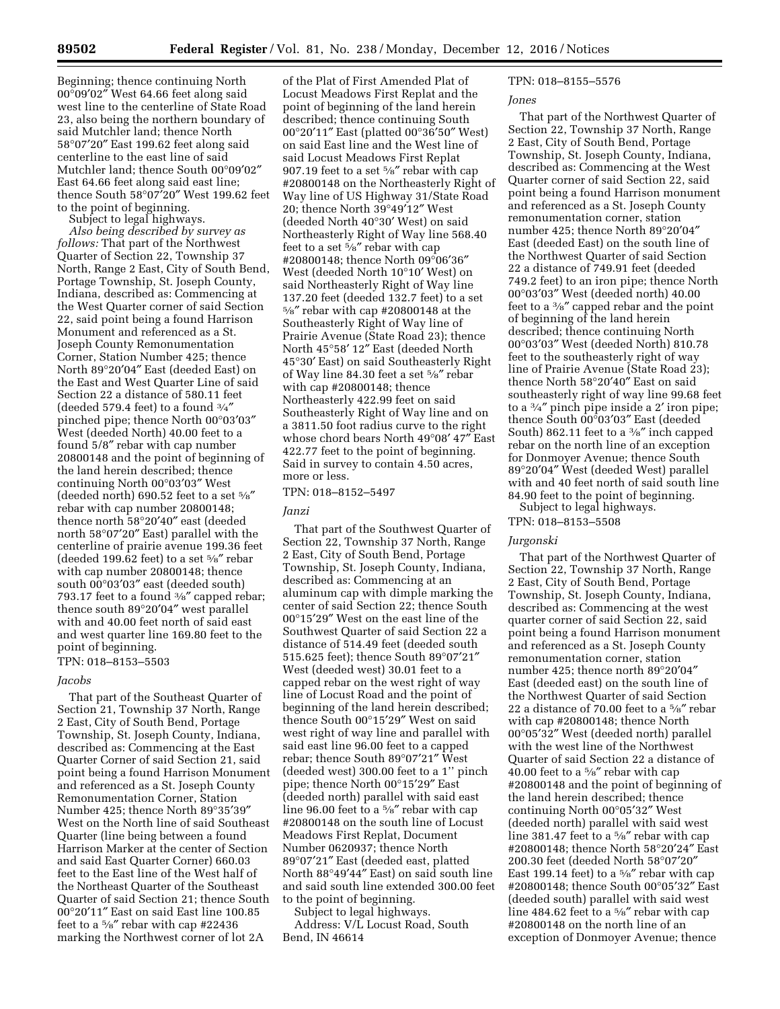Beginning; thence continuing North 00°09′02″ West 64.66 feet along said west line to the centerline of State Road 23, also being the northern boundary of said Mutchler land; thence North 58°07′20″ East 199.62 feet along said centerline to the east line of said Mutchler land; thence South 00°09′02″ East 64.66 feet along said east line; thence South 58°07′20″ West 199.62 feet to the point of beginning.

Subject to legal highways.

*Also being described by survey as follows:* That part of the Northwest Quarter of Section 22, Township 37 North, Range 2 East, City of South Bend, Portage Township, St. Joseph County, Indiana, described as: Commencing at the West Quarter corner of said Section 22, said point being a found Harrison Monument and referenced as a St. Joseph County Remonumentation Corner, Station Number 425; thence North 89°20′04″ East (deeded East) on the East and West Quarter Line of said Section 22 a distance of 580.11 feet (deeded 579.4 feet) to a found  $\frac{3}{4}$ " pinched pipe; thence North 00°03′03″ West (deeded North) 40.00 feet to a found 5/8″ rebar with cap number 20800148 and the point of beginning of the land herein described; thence continuing North 00°03′03″ West (deeded north) 690.52 feet to a set  $5\%$ rebar with cap number 20800148; thence north 58°20′40″ east (deeded north 58°07′20″ East) parallel with the centerline of prairie avenue 199.36 feet (deeded 199.62 feet) to a set  $\frac{5}{8}$ " rebar with cap number 20800148; thence south 00°03′03″ east (deeded south) 793.17 feet to a found  $\frac{3}{8}$ " capped rebar; thence south 89°20′04″ west parallel with and 40.00 feet north of said east and west quarter line 169.80 feet to the point of beginning.

TPN: 018–8153–5503

#### *Jacobs*

That part of the Southeast Quarter of Section 21, Township 37 North, Range 2 East, City of South Bend, Portage Township, St. Joseph County, Indiana, described as: Commencing at the East Quarter Corner of said Section 21, said point being a found Harrison Monument and referenced as a St. Joseph County Remonumentation Corner, Station Number 425; thence North 89°35′39″ West on the North line of said Southeast Quarter (line being between a found Harrison Marker at the center of Section and said East Quarter Corner) 660.03 feet to the East line of the West half of the Northeast Quarter of the Southeast Quarter of said Section 21; thence South 00°20′11″ East on said East line 100.85 feet to a 5⁄8″ rebar with cap #22436 marking the Northwest corner of lot 2A

of the Plat of First Amended Plat of Locust Meadows First Replat and the point of beginning of the land herein described; thence continuing South 00°20′11″ East (platted 00°36′50″ West) on said East line and the West line of said Locust Meadows First Replat 907.19 feet to a set 5⁄8″ rebar with cap #20800148 on the Northeasterly Right of Way line of US Highway 31/State Road 20; thence North 39°49′12″ West (deeded North 40°30′ West) on said Northeasterly Right of Way line 568.40 feet to a set 5⁄8″ rebar with cap #20800148; thence North 09°06′36″ West (deeded North 10°10′ West) on said Northeasterly Right of Way line 137.20 feet (deeded 132.7 feet) to a set 5⁄8″ rebar with cap #20800148 at the Southeasterly Right of Way line of Prairie Avenue (State Road 23); thence North 45°58′ 12″ East (deeded North 45°30′ East) on said Southeasterly Right of Way line 84.30 feet a set 5⁄8″ rebar with cap #20800148; thence Northeasterly 422.99 feet on said Southeasterly Right of Way line and on a 3811.50 foot radius curve to the right whose chord bears North 49°08′ 47″ East 422.77 feet to the point of beginning. Said in survey to contain 4.50 acres, more or less.

TPN: 018–8152–5497

#### *Janzi*

That part of the Southwest Quarter of Section 22, Township 37 North, Range 2 East, City of South Bend, Portage Township, St. Joseph County, Indiana, described as: Commencing at an aluminum cap with dimple marking the center of said Section 22; thence South 00°15′29″ West on the east line of the Southwest Quarter of said Section 22 a distance of 514.49 feet (deeded south 515.625 feet); thence South 89°07′21″ West (deeded west) 30.01 feet to a capped rebar on the west right of way line of Locust Road and the point of beginning of the land herein described; thence South 00°15′29″ West on said west right of way line and parallel with said east line 96.00 feet to a capped rebar; thence South 89°07′21″ West (deeded west) 300.00 feet to a 1'' pinch pipe; thence North 00°15′29″ East (deeded north) parallel with said east line 96.00 feet to a 5⁄8″ rebar with cap #20800148 on the south line of Locust Meadows First Replat, Document Number 0620937; thence North 89°07′21″ East (deeded east, platted North 88°49′44″ East) on said south line and said south line extended 300.00 feet to the point of beginning.

Subject to legal highways. Address: V/L Locust Road, South Bend, IN 46614

# TPN: 018–8155–5576

#### *Jones*

That part of the Northwest Quarter of Section 22, Township 37 North, Range 2 East, City of South Bend, Portage Township, St. Joseph County, Indiana, described as: Commencing at the West Quarter corner of said Section 22, said point being a found Harrison monument and referenced as a St. Joseph County remonumentation corner, station number 425; thence North 89°20′04″ East (deeded East) on the south line of the Northwest Quarter of said Section 22 a distance of 749.91 feet (deeded 749.2 feet) to an iron pipe; thence North 00°03′03″ West (deeded north) 40.00 feet to a 3⁄8″ capped rebar and the point of beginning of the land herein described; thence continuing North 00°03′03″ West (deeded North) 810.78 feet to the southeasterly right of way line of Prairie Avenue (State Road 23); thence North 58°20′40″ East on said southeasterly right of way line 99.68 feet to a 3⁄4″ pinch pipe inside a 2′ iron pipe; thence South 00°03′03″ East (deeded South) 862.11 feet to a 3⁄8″ inch capped rebar on the north line of an exception for Donmoyer Avenue; thence South 89°20′04″ West (deeded West) parallel with and 40 feet north of said south line 84.90 feet to the point of beginning. Subject to legal highways.

# TPN: 018–8153–5508

### *Jurgonski*

That part of the Northwest Quarter of Section 22, Township 37 North, Range 2 East, City of South Bend, Portage Township, St. Joseph County, Indiana, described as: Commencing at the west quarter corner of said Section 22, said point being a found Harrison monument and referenced as a St. Joseph County remonumentation corner, station number 425; thence north 89°20′04″ East (deeded east) on the south line of the Northwest Quarter of said Section 22 a distance of 70.00 feet to a 5⁄8″ rebar with cap #20800148; thence North 00°05′32″ West (deeded north) parallel with the west line of the Northwest Quarter of said Section 22 a distance of 40.00 feet to a 5⁄8″ rebar with cap #20800148 and the point of beginning of the land herein described; thence continuing North 00°05′32″ West (deeded north) parallel with said west line 381.47 feet to a 5⁄8″ rebar with cap #20800148; thence North 58°20′24″ East 200.30 feet (deeded North 58°07′20″ East 199.14 feet) to a 5⁄8″ rebar with cap #20800148; thence South 00°05′32″ East (deeded south) parallel with said west line 484.62 feet to a 5⁄8" rebar with cap #20800148 on the north line of an exception of Donmoyer Avenue; thence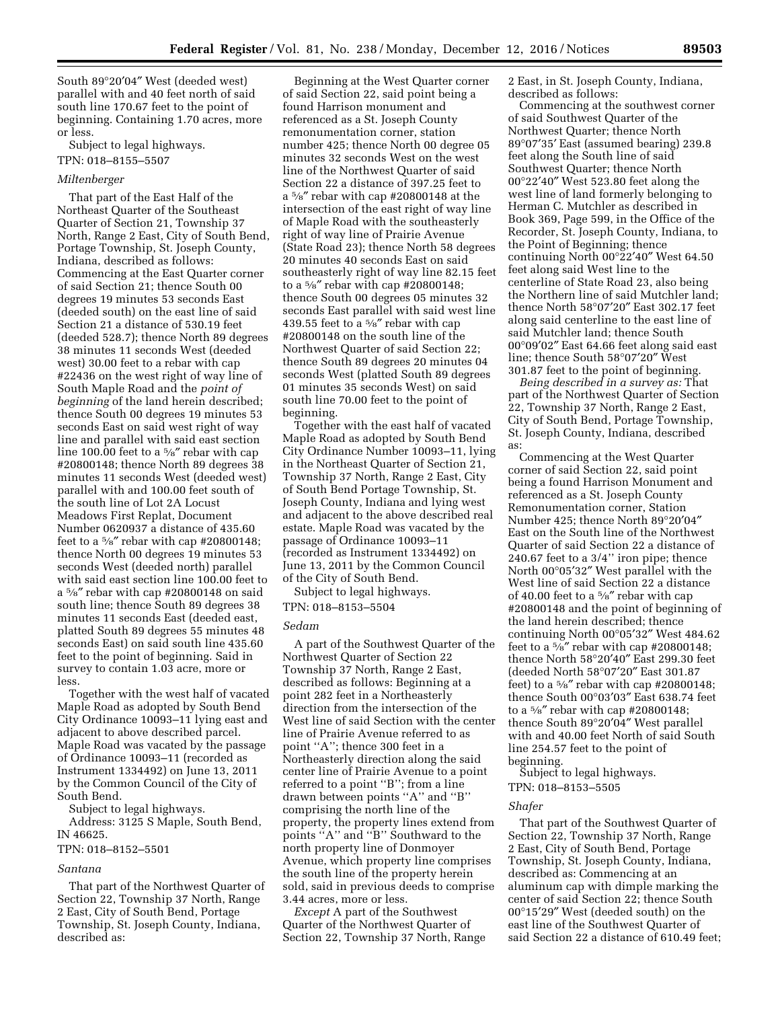South 89°20′04″ West (deeded west) parallel with and 40 feet north of said south line 170.67 feet to the point of beginning. Containing 1.70 acres, more or less.

Subject to legal highways. TPN: 018–8155–5507

#### *Miltenberger*

That part of the East Half of the Northeast Quarter of the Southeast Quarter of Section 21, Township 37 North, Range 2 East, City of South Bend, Portage Township, St. Joseph County, Indiana, described as follows: Commencing at the East Quarter corner of said Section 21; thence South 00 degrees 19 minutes 53 seconds East (deeded south) on the east line of said Section 21 a distance of 530.19 feet (deeded 528.7); thence North 89 degrees 38 minutes 11 seconds West (deeded west) 30.00 feet to a rebar with cap #22436 on the west right of way line of South Maple Road and the *point of beginning* of the land herein described; thence South 00 degrees 19 minutes 53 seconds East on said west right of way line and parallel with said east section line 100.00 feet to a 5⁄8″ rebar with cap #20800148; thence North 89 degrees 38 minutes 11 seconds West (deeded west) parallel with and 100.00 feet south of the south line of Lot 2A Locust Meadows First Replat, Document Number 0620937 a distance of 435.60 feet to a  $\frac{5}{8}$ " rebar with cap #20800148; thence North 00 degrees 19 minutes 53 seconds West (deeded north) parallel with said east section line 100.00 feet to a 5⁄8″ rebar with cap #20800148 on said south line; thence South 89 degrees 38 minutes 11 seconds East (deeded east, platted South 89 degrees 55 minutes 48 seconds East) on said south line 435.60 feet to the point of beginning. Said in survey to contain 1.03 acre, more or less.

Together with the west half of vacated Maple Road as adopted by South Bend City Ordinance 10093–11 lying east and adjacent to above described parcel. Maple Road was vacated by the passage of Ordinance 10093–11 (recorded as Instrument 1334492) on June 13, 2011 by the Common Council of the City of South Bend.

Subject to legal highways.

Address: 3125 S Maple, South Bend, IN 46625.

# TPN: 018–8152–5501

## *Santana*

That part of the Northwest Quarter of Section 22, Township 37 North, Range 2 East, City of South Bend, Portage Township, St. Joseph County, Indiana, described as:

Beginning at the West Quarter corner of said Section 22, said point being a found Harrison monument and referenced as a St. Joseph County remonumentation corner, station number 425; thence North 00 degree 05 minutes 32 seconds West on the west line of the Northwest Quarter of said Section 22 a distance of 397.25 feet to a 5⁄8″ rebar with cap #20800148 at the intersection of the east right of way line of Maple Road with the southeasterly right of way line of Prairie Avenue (State Road 23); thence North 58 degrees 20 minutes 40 seconds East on said southeasterly right of way line 82.15 feet to a 5⁄8″ rebar with cap #20800148; thence South 00 degrees 05 minutes 32 seconds East parallel with said west line 439.55 feet to a 5⁄8″ rebar with cap #20800148 on the south line of the Northwest Quarter of said Section 22; thence South 89 degrees 20 minutes 04 seconds West (platted South 89 degrees 01 minutes 35 seconds West) on said south line 70.00 feet to the point of beginning.

Together with the east half of vacated Maple Road as adopted by South Bend City Ordinance Number 10093–11, lying in the Northeast Quarter of Section 21, Township 37 North, Range 2 East, City of South Bend Portage Township, St. Joseph County, Indiana and lying west and adjacent to the above described real estate. Maple Road was vacated by the passage of Ordinance 10093–11 (recorded as Instrument 1334492) on June 13, 2011 by the Common Council of the City of South Bend.

Subject to legal highways. TPN: 018–8153–5504

#### *Sedam*

A part of the Southwest Quarter of the Northwest Quarter of Section 22 Township 37 North, Range 2 East, described as follows: Beginning at a point 282 feet in a Northeasterly direction from the intersection of the West line of said Section with the center line of Prairie Avenue referred to as point ''A''; thence 300 feet in a Northeasterly direction along the said center line of Prairie Avenue to a point referred to a point ''B''; from a line drawn between points ''A'' and ''B'' comprising the north line of the property, the property lines extend from points ''A'' and ''B'' Southward to the north property line of Donmoyer Avenue, which property line comprises the south line of the property herein sold, said in previous deeds to comprise 3.44 acres, more or less.

*Except* A part of the Southwest Quarter of the Northwest Quarter of Section 22, Township 37 North, Range 2 East, in St. Joseph County, Indiana, described as follows:

Commencing at the southwest corner of said Southwest Quarter of the Northwest Quarter; thence North 89°07′35′ East (assumed bearing) 239.8 feet along the South line of said Southwest Quarter; thence North 00°22′40″ West 523.80 feet along the west line of land formerly belonging to Herman C. Mutchler as described in Book 369, Page 599, in the Office of the Recorder, St. Joseph County, Indiana, to the Point of Beginning; thence continuing North 00°22′40″ West 64.50 feet along said West line to the centerline of State Road 23, also being the Northern line of said Mutchler land; thence North 58°07′20″ East 302.17 feet along said centerline to the east line of said Mutchler land; thence South 00°09′02″ East 64.66 feet along said east line; thence South 58°07′20″ West 301.87 feet to the point of beginning.

*Being described in a survey as:* That part of the Northwest Quarter of Section 22, Township 37 North, Range 2 East, City of South Bend, Portage Township, St. Joseph County, Indiana, described as:

Commencing at the West Quarter corner of said Section 22, said point being a found Harrison Monument and referenced as a St. Joseph County Remonumentation corner, Station Number 425; thence North 89°20′04″ East on the South line of the Northwest Quarter of said Section 22 a distance of 240.67 feet to a 3/4'' iron pipe; thence North 00°05′32″ West parallel with the West line of said Section 22 a distance of 40.00 feet to a 5⁄8″ rebar with cap #20800148 and the point of beginning of the land herein described; thence continuing North 00°05′32″ West 484.62 feet to a  $\frac{5}{8}$ " rebar with cap #20800148; thence North 58°20′40″ East 299.30 feet (deeded North 58°07′20″ East 301.87 feet) to a  $\frac{5}{8}$ " rebar with cap #20800148; thence South 00°03′03″ East 638.74 feet to a 5⁄8″ rebar with cap #20800148; thence South 89°20′04″ West parallel with and 40.00 feet North of said South line 254.57 feet to the point of beginning.

Subject to legal highways. TPN: 018–8153–5505

### *Shafer*

That part of the Southwest Quarter of Section 22, Township 37 North, Range 2 East, City of South Bend, Portage Township, St. Joseph County, Indiana, described as: Commencing at an aluminum cap with dimple marking the center of said Section 22; thence South 00°15′29″ West (deeded south) on the east line of the Southwest Quarter of said Section 22 a distance of 610.49 feet;